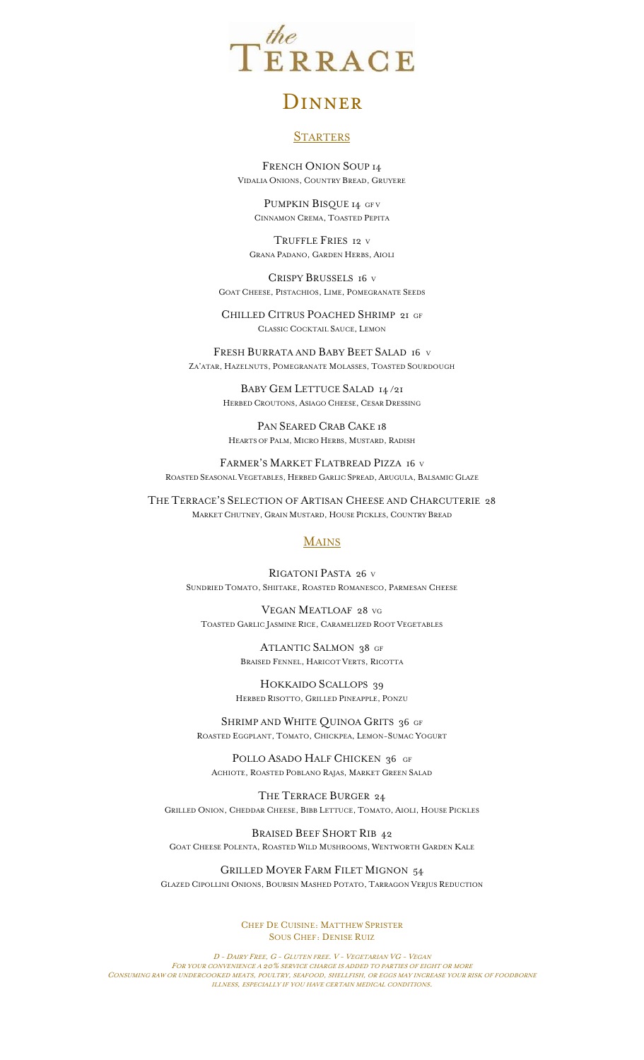

# **DINNER**

# **STARTERS**

FRENCH ONION SOUP 14 VIDALIA ONIONS, COUNTRY BREAD, GRUYERE

PUMPKIN BISQUE 14 GFV CINNAMON CREMA, TOASTED PEPITA

TRUFFLE FRIES 12 <sup>V</sup> GRANA PADANO, GARDEN HERBS, AIOLI

CRISPY BRUSSELS 16 <sup>V</sup> GOAT CHEESE, PISTACHIOS, LIME, POMEGRANATE SEEDS

CHILLED CITRUS POACHED SHRIMP 21 GF CLASSIC COCKTAIL SAUCE, LEMON

FRESH BURRATA AND BABY BEET SALAD 16 <sup>V</sup> ZA'ATAR, HAZELNUTS, POMEGRANATE MOLASSES, TOASTED SOURDOUGH

> BABY GEM LETTUCE SALAD 14 /21 HERBED CROUTONS, ASIAGO CHEESE, CESAR DRESSING

PAN SEARED CRAB CAKE 18 HEARTS OF PALM, MICRO HERBS, MUSTARD, RADISH

FARMER'S MARKET FLATBREAD PIZZA 16 <sup>V</sup> ROASTED SEASONAL VEGETABLES, HERBED GARLIC SPREAD, ARUGULA, BALSAMIC GLAZE

THE TERRACE'S SELECTION OF ARTISAN CHEESE AND CHARCUTERIE 28 MARKET CHUTNEY, GRAIN MUSTARD, HOUSE PICKLES, COUNTRY BREAD

# **MAINS**

RIGATONI PASTA 26 <sup>V</sup> SUNDRIED TOMATO, SHIITAKE, ROASTED ROMANESCO, PARMESAN CHEESE

VEGAN MEATLOAF 28 VG TOASTED GARLIC JASMINE RICE, CARAMELIZED ROOT VEGETABLES

> ATLANTIC SALMON 38 GF BRAISED FENNEL, HARICOT VERTS, RICOTTA

HOKKAIDO SCALLOPS 39 HERBED RISOTTO, GRILLED PINEAPPLE, PONZU

SHRIMP AND WHITE QUINOA GRITS 36 GF ROASTED EGGPLANT, TOMATO, CHICKPEA, LEMON-SUMAC YOGURT

POLLO ASADO HALF CHICKEN 36 GF ACHIOTE, ROASTED POBLANO RAJAS, MARKET GREEN SALAD

THE TERRACE BURGER 24 GRILLED ONION, CHEDDAR CHEESE, BIBB LETTUCE, TOMATO, AIOLI, HOUSE PICKLES

BRAISED BEEF SHORT RIB 42 GOAT CHEESE POLENTA, ROASTED WILD MUSHROOMS, WENTWORTH GARDEN KALE

GRILLED MOYER FARM FILET MIGNON 54 GLAZED CIPOLLINI ONIONS, BOURSIN MASHED POTATO, TARRAGON VERJUS REDUCTION

> CHEF DE CUISINE: MATTHEW SPRISTER SOUS CHEF: DENISE RUIZ

D - DAIRY FREE, G - GLUTEN FREE. V - VEGETARIAN VG - VEGAN FOR YOUR CONVENIENCE A 20% SERVICE CHARGE IS ADDED TO PARTIES OF EIGHT OR MORE CONSUMING RAW OR UNDERCOOKED MEATS, POULTRY, SEAFOOD, SHELLFISH, OR EGGS MAY INCREASE YOUR RISK OF FOODBORNE ILLNESS, ESPECIALLY IF YOU HAVE CERTAIN MEDICAL CONDITIONS.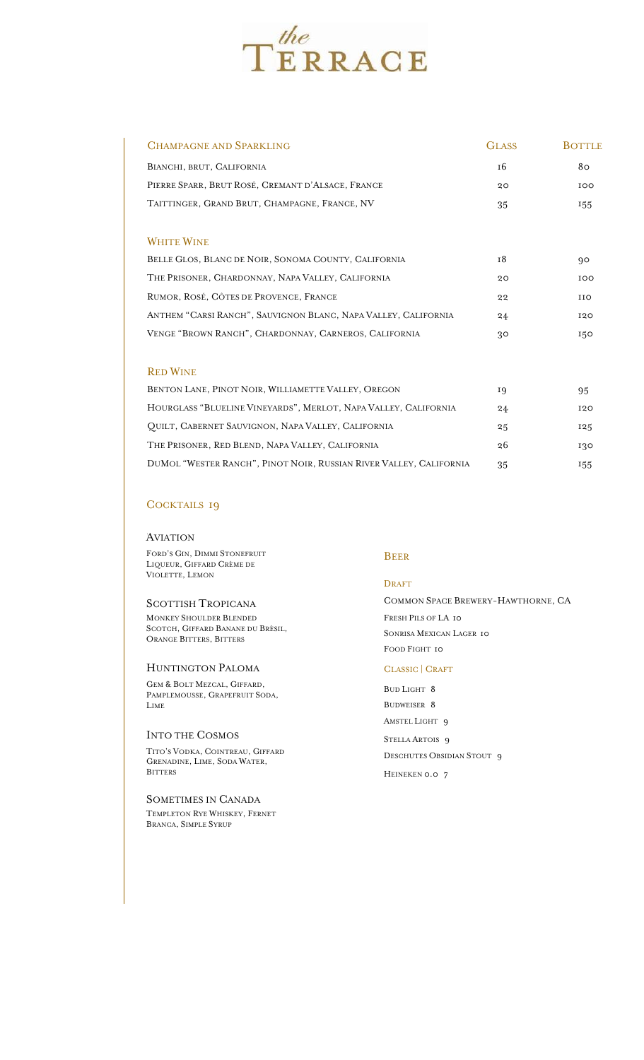

| CHAMPAGNE AND SPARKLING                                            | <b>GLASS</b> | <b>BOTTLE</b> |
|--------------------------------------------------------------------|--------------|---------------|
| BIANCHI, BRUT, CALIFORNIA                                          | 16           | 80            |
| PIERRE SPARR, BRUT ROSÉ, CREMANT D'ALSACE, FRANCE                  | 20           | 100           |
| TAITTINGER, GRAND BRUT, CHAMPAGNE, FRANCE, NV                      | 35           | 155           |
|                                                                    |              |               |
| <b>WHITE WINE</b>                                                  |              |               |
| BELLE GLOS, BLANC DE NOIR, SONOMA COUNTY, CALIFORNIA               | 18           | 90            |
| THE PRISONER, CHARDONNAY, NAPA VALLEY, CALIFORNIA                  | 20           | IOO           |
| RUMOR, ROSÉ, CÔTES DE PROVENCE, FRANCE                             | 22           | <b>IIO</b>    |
| ANTHEM "CARSI RANCH", SAUVIGNON BLANC, NAPA VALLEY, CALIFORNIA     | 24           | 120           |
| VENGE "BROWN RANCH", CHARDONNAY, CARNEROS, CALIFORNIA              | 30           | 150           |
|                                                                    |              |               |
| <b>RED WINE</b>                                                    |              |               |
| BENTON LANE, PINOT NOIR, WILLIAMETTE VALLEY, OREGON                | 19           | 95            |
| HOURGLASS "BLUELINE VINEYARDS", MERLOT, NAPA VALLEY, CALIFORNIA    | 24           | 120           |
| QUILT, CABERNET SAUVIGNON, NAPA VALLEY, CALIFORNIA                 | 25           | 125           |
| THE PRISONER, RED BLEND, NAPA VALLEY, CALIFORNIA                   | 26           | 130           |
| DUMOL "WESTER RANCH", PINOT NOIR, RUSSIAN RIVER VALLEY, CALIFORNIA | 35           | 155           |

# COCKTAILS 19

#### **AVIATION**

FORD'S GIN, DIMMI STONEFRUIT LIQUEUR, GIFFARD CRÈME DE VIOLETTE, LEMON

#### SCOTTISH TROPICANA

MONKEY SHOULDER BLENDED SCOTCH, GIFFARD BANANE DU BRÈSIL, ORANGE BITTERS, BITTERS

## HUNTINGTON PALOMA

GEM & BOLT MEZCAL, GIFFARD, PAMPLEMOUSSE, GRAPEFRUIT SODA, LIME

#### INTO THE COSMOS

TITO'S VODKA, COINTREAU, GIFFARD GRENADINE, LIME, SODA WATER, **BITTERS** 

SOMETIMES IN CANADA TEMPLETON RYE WHISKEY, FERNET BRANCA, SIMPLE SYRUP

# BEER

#### DRAFT

COMMON SPACE BREWERY-HAWTHORNE, CA FRESH PILS OF LA 10 SONRISA MEXICAN LAGER 10 FOOD FIGHT 10

# CLASSIC | CRAFT

BUD LIGHT 8 BUDWEISER 8 AMSTEL LIGHT 9

STELLA ARTOIS 9 DESCHUTES OBSIDIAN STOUT 9 HEINEKEN 0.0 7